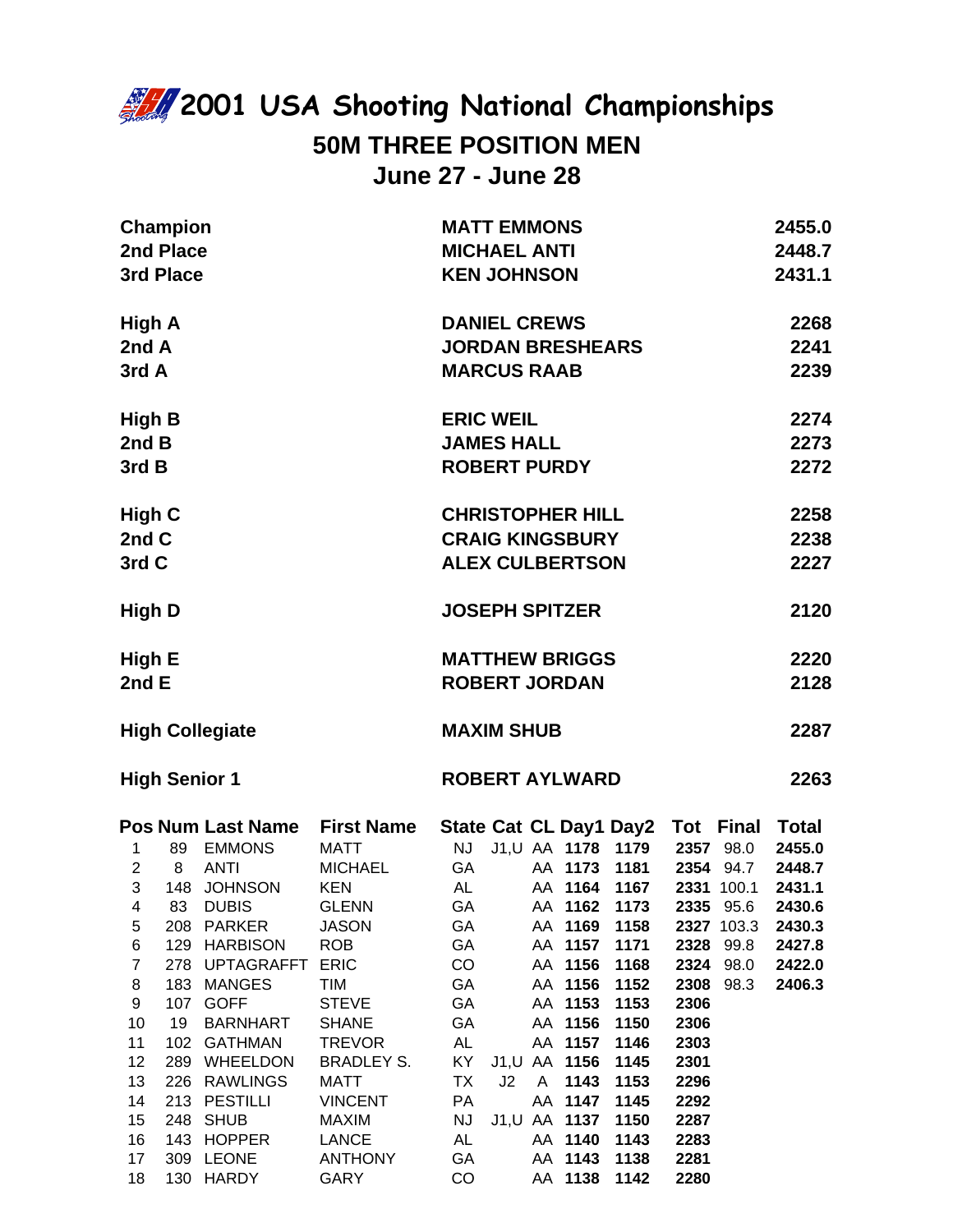## **2001 USA Shooting National Championships 50M THREE POSITION MEN June 27 - June 28**

|                                                                                                                          | <b>Champion</b><br>2nd Place<br>3rd Place |                                                                                                                                                                                                                                                                                |                                                                                                                                                                                                                                                                                            | <b>MATT EMMONS</b><br><b>MICHAEL ANTI</b><br><b>KEN JOHNSON</b>                                                                                                                                                                                                                                                                                                                                                                                                                                                                                                                                                                                                                                           | 2455.0<br>2448.7<br>2431.1                                                   |
|--------------------------------------------------------------------------------------------------------------------------|-------------------------------------------|--------------------------------------------------------------------------------------------------------------------------------------------------------------------------------------------------------------------------------------------------------------------------------|--------------------------------------------------------------------------------------------------------------------------------------------------------------------------------------------------------------------------------------------------------------------------------------------|-----------------------------------------------------------------------------------------------------------------------------------------------------------------------------------------------------------------------------------------------------------------------------------------------------------------------------------------------------------------------------------------------------------------------------------------------------------------------------------------------------------------------------------------------------------------------------------------------------------------------------------------------------------------------------------------------------------|------------------------------------------------------------------------------|
| High A<br>2nd A<br>3rd A                                                                                                 |                                           |                                                                                                                                                                                                                                                                                |                                                                                                                                                                                                                                                                                            | <b>DANIEL CREWS</b><br><b>JORDAN BRESHEARS</b><br><b>MARCUS RAAB</b>                                                                                                                                                                                                                                                                                                                                                                                                                                                                                                                                                                                                                                      | 2268<br>2241<br>2239                                                         |
| <b>High B</b><br>2nd B<br>3rd B                                                                                          |                                           |                                                                                                                                                                                                                                                                                |                                                                                                                                                                                                                                                                                            | <b>ERIC WEIL</b><br><b>JAMES HALL</b><br><b>ROBERT PURDY</b>                                                                                                                                                                                                                                                                                                                                                                                                                                                                                                                                                                                                                                              | 2274<br>2273<br>2272                                                         |
| High C<br>2nd C<br>3rd C                                                                                                 |                                           |                                                                                                                                                                                                                                                                                |                                                                                                                                                                                                                                                                                            | <b>CHRISTOPHER HILL</b><br><b>CRAIG KINGSBURY</b><br><b>ALEX CULBERTSON</b>                                                                                                                                                                                                                                                                                                                                                                                                                                                                                                                                                                                                                               | 2258<br>2238<br>2227                                                         |
| High D                                                                                                                   |                                           |                                                                                                                                                                                                                                                                                |                                                                                                                                                                                                                                                                                            | <b>JOSEPH SPITZER</b>                                                                                                                                                                                                                                                                                                                                                                                                                                                                                                                                                                                                                                                                                     | 2120                                                                         |
| High E<br>2nd E                                                                                                          |                                           |                                                                                                                                                                                                                                                                                |                                                                                                                                                                                                                                                                                            | <b>MATTHEW BRIGGS</b><br><b>ROBERT JORDAN</b>                                                                                                                                                                                                                                                                                                                                                                                                                                                                                                                                                                                                                                                             | 2220<br>2128                                                                 |
| <b>High Collegiate</b>                                                                                                   |                                           |                                                                                                                                                                                                                                                                                |                                                                                                                                                                                                                                                                                            | <b>MAXIM SHUB</b>                                                                                                                                                                                                                                                                                                                                                                                                                                                                                                                                                                                                                                                                                         | 2287                                                                         |
|                                                                                                                          |                                           | <b>High Senior 1</b>                                                                                                                                                                                                                                                           |                                                                                                                                                                                                                                                                                            | <b>ROBERT AYLWARD</b>                                                                                                                                                                                                                                                                                                                                                                                                                                                                                                                                                                                                                                                                                     | 2263                                                                         |
| $\mathbf{1}$<br>$\mathbf{3}$<br>5<br>6<br>$\overline{7}$<br>8<br>9<br>10<br>11<br>12<br>13<br>14<br>15<br>16<br>17<br>18 | 19<br>143                                 | 89 EMMONS<br>2 8 ANTI<br>148 JOHNSON KEN<br>4 83 DUBIS<br>208 PARKER<br>129 HARBISON<br>278 UPTAGRAFFT ERIC<br>183 MANGES<br>107 GOFF<br><b>BARNHART</b><br>102 GATHMAN<br>289 WHEELDON<br>226 RAWLINGS<br>213 PESTILLI<br>248 SHUB<br><b>HOPPER</b><br>309 LEONE<br>130 HARDY | <b>Pos Num Last Name First Name</b><br><b>MATT</b><br><b>MICHAEL</b><br><b>GLENN</b><br><b>JASON</b><br><b>ROB</b><br><b>TIM</b><br><b>STEVE</b><br><b>SHANE</b><br><b>TREVOR</b><br><b>BRADLEY S.</b><br>MATT<br><b>VINCENT</b><br><b>MAXIM</b><br><b>LANCE</b><br><b>ANTHONY</b><br>GARY | State Cat CL Day1 Day2 Tot Final Total<br>NJ J1,U AA 1178 1179 2357 98.0<br>AA 1173 1181 2354 94.7<br><b>GA</b><br>AA 1164 1167<br>AL<br>2331 100.1<br>GA AA 1162 1173 2335 95.6<br>GA<br>AA 1169<br>1158<br>2327 103.3<br>GA<br>AA 1157<br>1171<br>2328<br>99.8<br>CO<br>AA 1156<br>1168<br>2324 98.0<br>AA 1156<br>1152<br>2308 98.3<br>GA<br>GA<br>AA 1153<br>1153<br>2306<br>GA<br>AA 1156<br>1150<br>2306<br>AL<br>AA 1157<br>1146<br>2303<br>KY<br>J1,U AA 1156<br>1145<br>2301<br>TX<br>J2<br>1143<br>1153<br>2296<br>A<br>PA<br>AA 1147<br>1145<br>2292<br>J1, U AA 1137<br>NJ<br>1150<br>2287<br>AA 1140<br>AL<br>1143<br>2283<br>GA<br>AA 1143<br>1138<br>2281<br>CO<br>AA 1138<br>2280<br>1142 | 2455.0<br>2448.7<br>2431.1<br>2430.6<br>2430.3<br>2427.8<br>2422.0<br>2406.3 |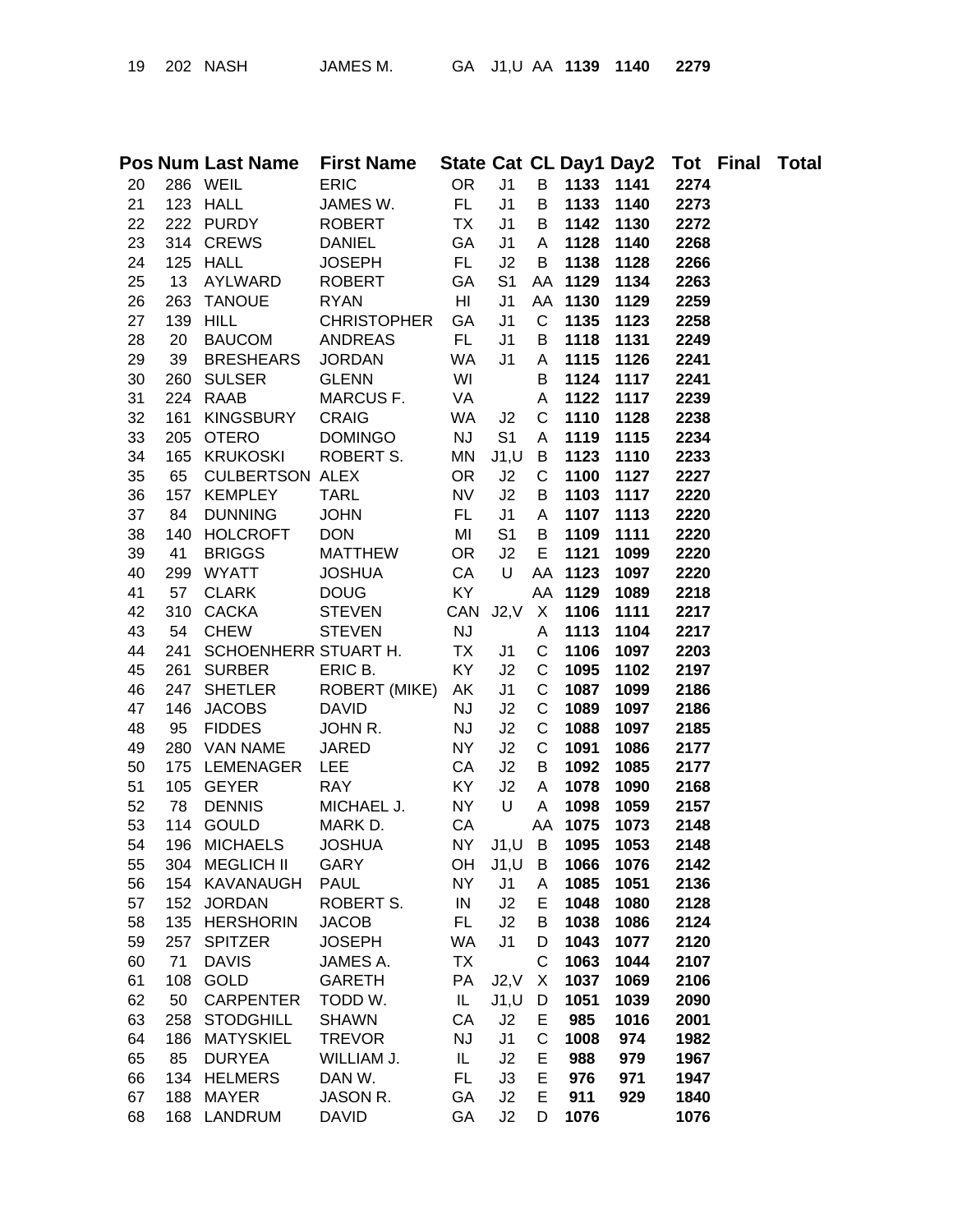| 19 | 202 | <b>NASI</b> |
|----|-----|-------------|
|----|-----|-------------|

|    |     |                        | Pos Num Last Name First Name |           |                |              |      |      | State Cat CL Day1 Day2 Tot Final Total |  |
|----|-----|------------------------|------------------------------|-----------|----------------|--------------|------|------|----------------------------------------|--|
| 20 |     | 286 WEIL               | <b>ERIC</b>                  | <b>OR</b> | J <sub>1</sub> | B            | 1133 | 1141 | 2274                                   |  |
| 21 |     | 123 HALL               | JAMES W.                     | FL.       | J <sub>1</sub> | B            | 1133 | 1140 | 2273                                   |  |
| 22 |     | 222 PURDY              | <b>ROBERT</b>                | <b>TX</b> | J <sub>1</sub> | B            | 1142 | 1130 | 2272                                   |  |
| 23 |     | 314 CREWS              | <b>DANIEL</b>                | GA        | J <sub>1</sub> | A            | 1128 | 1140 | 2268                                   |  |
| 24 |     | 125 HALL               | <b>JOSEPH</b>                | FL.       | J2             | B            | 1138 | 1128 | 2266                                   |  |
| 25 | 13  | AYLWARD                | <b>ROBERT</b>                | GA        | S <sub>1</sub> | AA           | 1129 | 1134 | 2263                                   |  |
| 26 |     | 263 TANOUE             | <b>RYAN</b>                  | HI        | J1             | AA           | 1130 | 1129 | 2259                                   |  |
| 27 | 139 | HILL                   | <b>CHRISTOPHER</b>           | GA        | J1             | C            | 1135 | 1123 | 2258                                   |  |
| 28 | 20  | <b>BAUCOM</b>          | <b>ANDREAS</b>               | FL.       | J <sub>1</sub> | B            | 1118 | 1131 | 2249                                   |  |
| 29 | 39  | <b>BRESHEARS</b>       | <b>JORDAN</b>                | WA        | J <sub>1</sub> | A            | 1115 | 1126 | 2241                                   |  |
| 30 | 260 | <b>SULSER</b>          | <b>GLENN</b>                 | WI        |                | B            | 1124 | 1117 | 2241                                   |  |
| 31 | 224 | <b>RAAB</b>            | MARCUS F.                    | VA        |                | A            | 1122 | 1117 | 2239                                   |  |
| 32 | 161 | <b>KINGSBURY</b>       | <b>CRAIG</b>                 | WA        | J2             | C            | 1110 | 1128 | 2238                                   |  |
| 33 | 205 | <b>OTERO</b>           | <b>DOMINGO</b>               | <b>NJ</b> | S <sub>1</sub> | A            | 1119 | 1115 | 2234                                   |  |
| 34 |     | 165 KRUKOSKI           | ROBERT S.                    | MN        | J1, U          | B            | 1123 | 1110 | 2233                                   |  |
| 35 | 65  | <b>CULBERTSON ALEX</b> |                              | <b>OR</b> | J2             | $\mathsf{C}$ | 1100 | 1127 | 2227                                   |  |
| 36 |     | 157 KEMPLEY            | <b>TARL</b>                  | <b>NV</b> | J2             | B            | 1103 | 1117 | 2220                                   |  |
| 37 | 84  | <b>DUNNING</b>         | <b>JOHN</b>                  | FL.       | J <sub>1</sub> | A            | 1107 | 1113 | 2220                                   |  |
| 38 | 140 | <b>HOLCROFT</b>        | <b>DON</b>                   | MI        | S <sub>1</sub> | В            | 1109 | 1111 | 2220                                   |  |
| 39 | 41  | <b>BRIGGS</b>          | <b>MATTHEW</b>               | <b>OR</b> | J2             | E            | 1121 | 1099 | 2220                                   |  |
| 40 | 299 | <b>WYATT</b>           | <b>JOSHUA</b>                | CA        | U              | AA           | 1123 | 1097 | 2220                                   |  |
| 41 | 57  | <b>CLARK</b>           | <b>DOUG</b>                  | KY        |                | AA           | 1129 | 1089 | 2218                                   |  |
| 42 | 310 | <b>CACKA</b>           | <b>STEVEN</b>                | CAN       | J2, V          | X            | 1106 | 1111 | 2217                                   |  |
| 43 | 54  | <b>CHEW</b>            | <b>STEVEN</b>                | <b>NJ</b> |                | A            | 1113 | 1104 | 2217                                   |  |
| 44 | 241 | SCHOENHERR STUART H.   |                              | <b>TX</b> | J1             | C            | 1106 | 1097 | 2203                                   |  |
| 45 | 261 | <b>SURBER</b>          | ERIC B.                      | KY        | J2             | C            | 1095 | 1102 | 2197                                   |  |
| 46 | 247 | <b>SHETLER</b>         | <b>ROBERT (MIKE)</b>         | AK        | J <sub>1</sub> | $\mathsf C$  | 1087 | 1099 | 2186                                   |  |
| 47 | 146 | <b>JACOBS</b>          | <b>DAVID</b>                 | <b>NJ</b> | J2             | $\mathsf C$  | 1089 | 1097 | 2186                                   |  |
| 48 | 95  | <b>FIDDES</b>          | JOHN R.                      | <b>NJ</b> | J2             | $\mathsf C$  | 1088 | 1097 | 2185                                   |  |
| 49 | 280 | VAN NAME               | <b>JARED</b>                 | NY        | J2             | $\mathsf C$  | 1091 | 1086 | 2177                                   |  |
| 50 | 175 | LEMENAGER              | <b>LEE</b>                   | CA        | J2             | B            | 1092 | 1085 | 2177                                   |  |
| 51 |     | 105 GEYER              | <b>RAY</b>                   | KY        | J2             | A            | 1078 | 1090 | 2168                                   |  |
| 52 | 78  | <b>DENNIS</b>          | MICHAEL J.                   | NY        | $\cup$         | A            | 1098 | 1059 | 2157                                   |  |
| 53 |     | 114 GOULD              | MARK D.                      | CA        |                | AA           | 1075 | 1073 | 2148                                   |  |
| 54 | 196 | <b>MICHAELS</b>        | <b>JOSHUA</b>                |           | NY J1,U        | B            | 1095 | 1053 | 2148                                   |  |
| 55 | 304 | <b>MEGLICH II</b>      | <b>GARY</b>                  | OH        | J1, U          | B            | 1066 | 1076 | 2142                                   |  |
| 56 | 154 | <b>KAVANAUGH</b>       | <b>PAUL</b>                  | <b>NY</b> | J1             | A            | 1085 | 1051 | 2136                                   |  |
| 57 | 152 | <b>JORDAN</b>          | ROBERT S.                    | IN        | J2             | Е            | 1048 | 1080 | 2128                                   |  |
| 58 | 135 | <b>HERSHORIN</b>       | <b>JACOB</b>                 | FL.       | J2             | В            | 1038 | 1086 | 2124                                   |  |
| 59 | 257 | <b>SPITZER</b>         | <b>JOSEPH</b>                | WA        | J <sub>1</sub> | D            | 1043 | 1077 | 2120                                   |  |
| 60 | 71  | <b>DAVIS</b>           | JAMES A.                     | <b>TX</b> |                | C            | 1063 | 1044 | 2107                                   |  |
| 61 | 108 | <b>GOLD</b>            | <b>GARETH</b>                | PA        | J2.V           | X            | 1037 | 1069 | 2106                                   |  |
| 62 | 50  | <b>CARPENTER</b>       | TODD W.                      | IL.       | J1, U          | D            | 1051 | 1039 | 2090                                   |  |
| 63 | 258 | <b>STODGHILL</b>       | <b>SHAWN</b>                 | CA        | J2             | Е            | 985  | 1016 | 2001                                   |  |
| 64 | 186 | <b>MATYSKIEL</b>       | <b>TREVOR</b>                | <b>NJ</b> | J1             | C            | 1008 | 974  | 1982                                   |  |
| 65 | 85  | <b>DURYEA</b>          | WILLIAM J.                   | IL        | J2             | Е            | 988  | 979  | 1967                                   |  |
| 66 | 134 | <b>HELMERS</b>         | DAN W.                       | FL        | J3             | E            | 976  | 971  | 1947                                   |  |
| 67 | 188 | <b>MAYER</b>           | JASON R.                     | GA        | J2             | E            | 911  | 929  | 1840                                   |  |
| 68 |     | 168 LANDRUM            | <b>DAVID</b>                 | GA        | J2             | D            | 1076 |      | 1076                                   |  |
|    |     |                        |                              |           |                |              |      |      |                                        |  |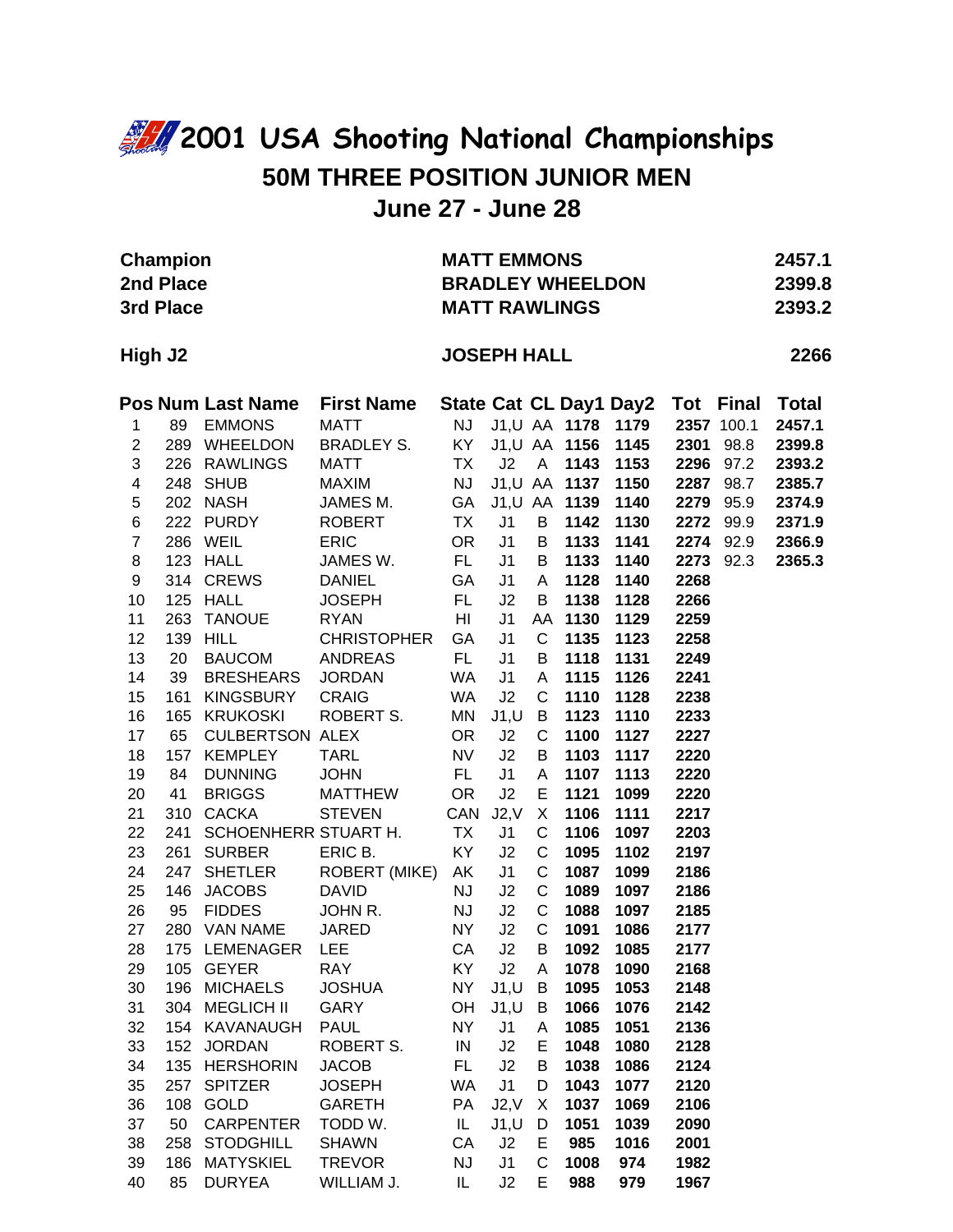## **2001 USA Shooting National Championships 50M THREE POSITION JUNIOR MEN June 27 - June 28**

| <b>Champion</b><br>2nd Place<br>3rd Place |     |                          |                           | <b>MATT EMMONS</b><br><b>BRADLEY WHEELDON</b><br><b>MATT RAWLINGS</b> | 2457.1<br>2399.8<br>2393.2 |             |               |                               |              |              |              |      |
|-------------------------------------------|-----|--------------------------|---------------------------|-----------------------------------------------------------------------|----------------------------|-------------|---------------|-------------------------------|--------------|--------------|--------------|------|
| High J2                                   |     |                          |                           |                                                                       | <b>JOSEPH HALL</b>         |             |               |                               |              |              |              | 2266 |
|                                           |     | <b>Pos Num Last Name</b> | <b>First Name</b>         |                                                                       |                            |             |               | <b>State Cat CL Day1 Day2</b> | Tot          | <b>Final</b> | <b>Total</b> |      |
| 1                                         | 89  | <b>EMMONS</b>            | <b>MATT</b>               | NJ                                                                    |                            |             | J1,U AA 1178  | 1179                          |              | 2357 100.1   | 2457.1       |      |
| $\overline{c}$                            |     | 289 WHEELDON             | <b>BRADLEY S.</b>         | KY ·                                                                  |                            |             | J1,U AA 1156  | 1145                          | 2301         | 98.8         | 2399.8       |      |
| 3                                         |     | 226 RAWLINGS             | <b>MATT</b>               | <b>TX</b>                                                             | J2                         | A           | 1143          | 1153                          | 2296         | 97.2         | 2393.2       |      |
| $\overline{\mathbf{4}}$                   |     | 248 SHUB                 | <b>MAXIM</b>              | <b>NJ</b>                                                             |                            |             | J1,U AA 1137  | 1150                          | 2287         | 98.7         | 2385.7       |      |
| 5                                         |     | 202 NASH                 | JAMES M.                  | GA                                                                    |                            |             | J1, U AA 1139 | 1140                          | 2279         | 95.9         | 2374.9       |      |
| 6                                         |     | 222 PURDY                | <b>ROBERT</b>             | <b>TX</b>                                                             | J1                         | B           | 1142          | 1130                          | 2272         | 99.9         | 2371.9       |      |
| $\overline{7}$<br>8                       |     | 286 WEIL<br>123 HALL     | <b>ERIC</b>               | <b>OR</b>                                                             | J1                         | B           | 1133          | 1141                          | 2274<br>2273 | 92.9         | 2366.9       |      |
| 9                                         |     | 314 CREWS                | JAMES W.<br><b>DANIEL</b> | FL.<br>GA                                                             | J <sub>1</sub><br>J1       | B<br>A      | 1133<br>1128  | 1140<br>1140                  | 2268         | 92.3         | 2365.3       |      |
| 10                                        |     | 125 HALL                 | <b>JOSEPH</b>             | FL.                                                                   | J2                         | B           | 1138          | 1128                          | 2266         |              |              |      |
| 11                                        | 263 | <b>TANOUE</b>            | <b>RYAN</b>               | HI                                                                    | J <sub>1</sub>             | AA          | 1130          | 1129                          | 2259         |              |              |      |
| 12                                        | 139 | <b>HILL</b>              | <b>CHRISTOPHER</b>        | GA                                                                    | J1                         | C           | 1135          | 1123                          | 2258         |              |              |      |
| 13                                        | 20  | <b>BAUCOM</b>            | <b>ANDREAS</b>            | FL.                                                                   | J1                         | B           | 1118          | 1131                          | 2249         |              |              |      |
| 14                                        | 39  | <b>BRESHEARS</b>         | <b>JORDAN</b>             | WA                                                                    | J1                         | A           | 1115          | 1126                          | 2241         |              |              |      |
| 15                                        | 161 | <b>KINGSBURY</b>         | <b>CRAIG</b>              | <b>WA</b>                                                             | J2                         | $\mathsf C$ | 1110          | 1128                          | 2238         |              |              |      |
| 16                                        |     | 165 KRUKOSKI             | ROBERT S.                 | MN                                                                    | J1, U                      | B           | 1123          | 1110                          | 2233         |              |              |      |
| 17                                        | 65  | <b>CULBERTSON ALEX</b>   |                           | <b>OR</b>                                                             | J2                         | $\mathsf C$ | 1100          | 1127                          | 2227         |              |              |      |
| 18                                        | 157 | <b>KEMPLEY</b>           | <b>TARL</b>               | <b>NV</b>                                                             | J2                         | B           | 1103          | 1117                          | 2220         |              |              |      |
| 19                                        | 84  | <b>DUNNING</b>           | <b>JOHN</b>               | FL.                                                                   | J <sub>1</sub>             | A           | 1107          | 1113                          | 2220         |              |              |      |
| 20                                        | 41  | <b>BRIGGS</b>            | <b>MATTHEW</b>            | <b>OR</b>                                                             | J2                         | E           | 1121          | 1099                          | 2220         |              |              |      |
| 21                                        | 310 | <b>CACKA</b>             | <b>STEVEN</b>             | CAN                                                                   | J2, V                      | X           | 1106          | 1111                          | 2217         |              |              |      |
| 22                                        | 241 | SCHOENHERR STUART H.     |                           | <b>TX</b>                                                             | J1                         | C           | 1106          | 1097                          | 2203         |              |              |      |
| 23                                        | 261 | <b>SURBER</b>            | ERIC B.                   | KY                                                                    | J2                         | $\mathsf C$ | 1095          | 1102                          | 2197         |              |              |      |
| 24                                        | 247 | <b>SHETLER</b>           | ROBERT (MIKE)             | AK                                                                    | J1                         | $\mathsf C$ | 1087          | 1099                          | 2186         |              |              |      |
| 25                                        | 146 | <b>JACOBS</b>            | <b>DAVID</b>              | <b>NJ</b>                                                             | J2                         | $\mathsf C$ | 1089          | 1097                          | 2186         |              |              |      |
| 26                                        | 95  | <b>FIDDES</b>            | JOHN R.                   | NJ                                                                    | J2                         | C           | 1088          | 1097                          | 2185         |              |              |      |
| 27                                        |     | 280 VAN NAME             | <b>JARED</b>              | <b>NY</b>                                                             | J2                         | $\mathsf C$ | 1091          | 1086                          | 2177         |              |              |      |
| 28                                        |     | 175 LEMENAGER LEE        |                           | CA J2                                                                 |                            | B           | 1092          | 1085                          | 2177         |              |              |      |
| 29                                        |     | 105 GEYER                | <b>RAY</b>                | KY                                                                    | J2                         | A           | 1078          | 1090                          | 2168         |              |              |      |
| 30                                        | 196 | <b>MICHAELS</b>          | <b>JOSHUA</b>             | <b>NY</b>                                                             | J1, U                      | B           | 1095          | 1053                          | 2148         |              |              |      |
| 31                                        |     | 304 MEGLICH II           | GARY                      | OH                                                                    | J1, U                      | B           | 1066          | 1076                          | 2142         |              |              |      |
| 32                                        |     | 154 KAVANAUGH            | <b>PAUL</b>               | <b>NY</b>                                                             | J1                         | Α           | 1085          | 1051                          | 2136         |              |              |      |
| 33                                        | 152 | <b>JORDAN</b>            | ROBERT S.                 | IN                                                                    | J2                         | Е           | 1048          | 1080                          | 2128         |              |              |      |
| 34                                        | 135 | <b>HERSHORIN</b>         | <b>JACOB</b>              | FL                                                                    | J2                         | B           | 1038          | 1086                          | 2124         |              |              |      |
| 35                                        | 257 | <b>SPITZER</b>           | <b>JOSEPH</b>             | <b>WA</b>                                                             | J <sub>1</sub>             | D           | 1043          | 1077                          | 2120         |              |              |      |
| 36                                        | 108 | GOLD                     | <b>GARETH</b>             | PA                                                                    | J2, V                      | X           | 1037          | 1069                          | 2106         |              |              |      |
| 37                                        | 50  | <b>CARPENTER</b>         | TODD W.                   | IL                                                                    | J1, U                      | D           | 1051          | 1039                          | 2090         |              |              |      |
| 38                                        | 258 | <b>STODGHILL</b>         | <b>SHAWN</b>              | CA                                                                    | J2                         | Е           | 985           | 1016                          | 2001         |              |              |      |
| 39                                        | 186 | <b>MATYSKIEL</b>         | <b>TREVOR</b>             | <b>NJ</b>                                                             | J1                         | C           | 1008          | 974                           | 1982         |              |              |      |
| 40                                        | 85  | <b>DURYEA</b>            | WILLIAM J.                | IL                                                                    | J2                         | E           | 988           | 979                           | 1967         |              |              |      |